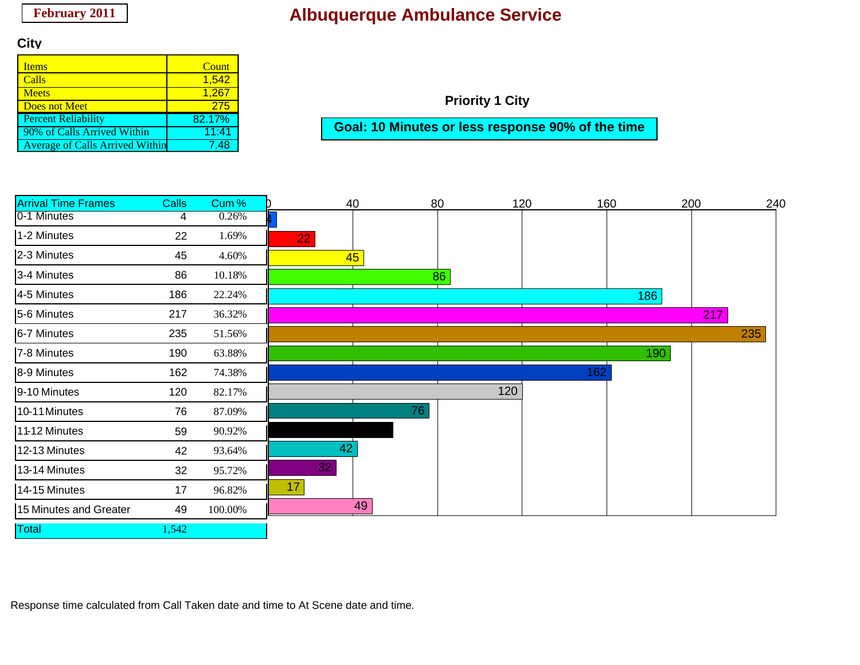### **City**

| <b>Items</b>                           | Count  |
|----------------------------------------|--------|
| Calls                                  | 1,542  |
| <b>Meets</b>                           | 1.267  |
| Does not Meet                          | 275    |
| <b>Percent Reliability</b>             | 82.17% |
| 90% of Calls Arrived Within            | 11:41  |
| <b>Average of Calls Arrived Within</b> | 7 48   |

**Priority 1 City**

**Goal: 10 Minutes or less response 90% of the time**

| <b>Arrival Time Frames</b> | <b>Calls</b> | Cum%    |    | 40 | 80 | 120 | 160 |     | 200 | 240 |
|----------------------------|--------------|---------|----|----|----|-----|-----|-----|-----|-----|
| 0-1 Minutes                | 4            | 0.26%   |    |    |    |     |     |     |     |     |
| 1-2 Minutes                | 22           | 1.69%   | 22 |    |    |     |     |     |     |     |
| 2-3 Minutes                | 45           | 4.60%   |    | 45 |    |     |     |     |     |     |
| 3-4 Minutes                | 86           | 10.18%  |    |    | 86 |     |     |     |     |     |
| 4-5 Minutes                | 186          | 22.24%  |    |    |    |     |     | 186 |     |     |
| 5-6 Minutes                | 217          | 36.32%  |    |    |    |     |     |     | 217 |     |
| 6-7 Minutes                | 235          | 51.56%  |    |    |    |     |     |     |     | 235 |
| 7-8 Minutes                | 190          | 63.88%  |    |    |    |     |     | 190 |     |     |
| 8-9 Minutes                | 162          | 74.38%  |    |    |    |     | 162 |     |     |     |
| 9-10 Minutes               | 120          | 82.17%  |    |    |    | 120 |     |     |     |     |
| 10-11 Minutes              | 76           | 87.09%  |    |    | 76 |     |     |     |     |     |
| 11-12 Minutes              | 59           | 90.92%  |    |    |    |     |     |     |     |     |
| 12-13 Minutes              | 42           | 93.64%  | 42 |    |    |     |     |     |     |     |
| 13-14 Minutes              | 32           | 95.72%  | 32 |    |    |     |     |     |     |     |
| 14-15 Minutes              | 17           | 96.82%  | 17 |    |    |     |     |     |     |     |
| 15 Minutes and Greater     | 49           | 100.00% |    | 49 |    |     |     |     |     |     |
| Total                      | .542         |         |    |    |    |     |     |     |     |     |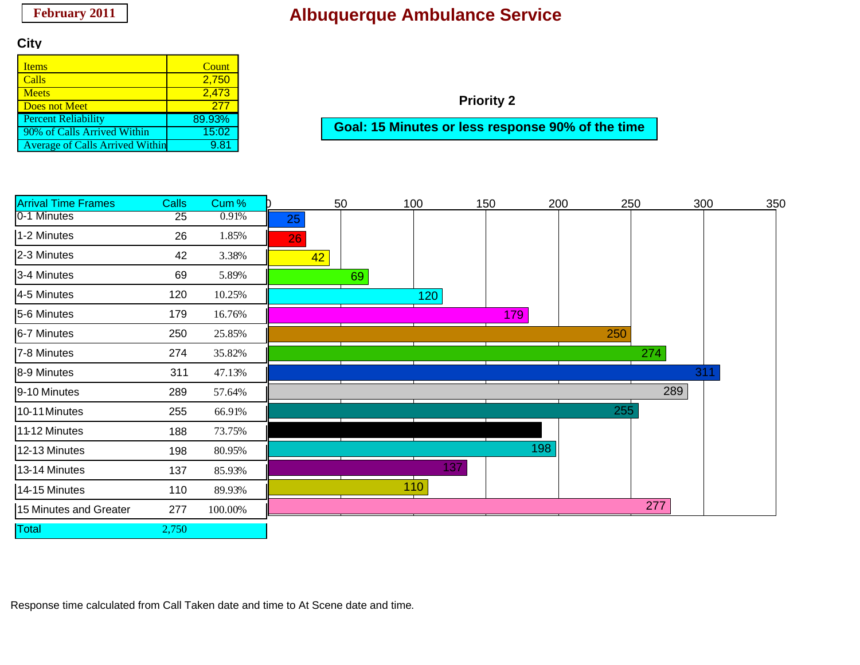### **City**

| <b>Items</b>                           | Count  |
|----------------------------------------|--------|
| Calls                                  | 2,750  |
| <b>Meets</b>                           | 2,473  |
| <b>Does not Meet</b>                   | 277    |
| <b>Percent Reliability</b>             | 89.93% |
| 90% of Calls Arrived Within            | 15:02  |
| <b>Average of Calls Arrived Within</b> | 9 81   |

**Priority 2**

**Goal: 15 Minutes or less response 90% of the time**

| <b>Arrival Time Frames</b> | <b>Calls</b> | Cum%    |    | 50 | 100 | 150 | 200 | 250 |     | 300 | 350 |
|----------------------------|--------------|---------|----|----|-----|-----|-----|-----|-----|-----|-----|
| 0-1 Minutes                | 25           | 0.91%   | 25 |    |     |     |     |     |     |     |     |
| 1-2 Minutes                | 26           | 1.85%   | 26 |    |     |     |     |     |     |     |     |
| 2-3 Minutes                | 42           | 3.38%   | 42 |    |     |     |     |     |     |     |     |
| 3-4 Minutes                | 69           | 5.89%   |    | 69 |     |     |     |     |     |     |     |
| 4-5 Minutes                | 120          | 10.25%  |    |    | 120 |     |     |     |     |     |     |
| 5-6 Minutes                | 179          | 16.76%  |    |    |     | 179 |     |     |     |     |     |
| 6-7 Minutes                | 250          | 25.85%  |    |    |     |     |     | 250 |     |     |     |
| 7-8 Minutes                | 274          | 35.82%  |    |    |     |     |     |     | 274 |     |     |
| 8-9 Minutes                | 311          | 47.13%  |    |    |     |     |     |     |     | 311 |     |
| 9-10 Minutes               | 289          | 57.64%  |    |    |     |     |     |     | 289 |     |     |
| 10-11 Minutes              | 255          | 66.91%  |    |    |     |     |     | 255 |     |     |     |
| 11-12 Minutes              | 188          | 73.75%  |    |    |     |     |     |     |     |     |     |
| 12-13 Minutes              | 198          | 80.95%  |    |    |     |     | 198 |     |     |     |     |
| 13-14 Minutes              | 137          | 85.93%  |    |    | 137 |     |     |     |     |     |     |
| 14-15 Minutes              | 110          | 89.93%  |    |    | 110 |     |     |     |     |     |     |
| 15 Minutes and Greater     | 277          | 100.00% |    |    |     |     |     |     | 277 |     |     |
| Total                      | 2,750        |         |    |    |     |     |     |     |     |     |     |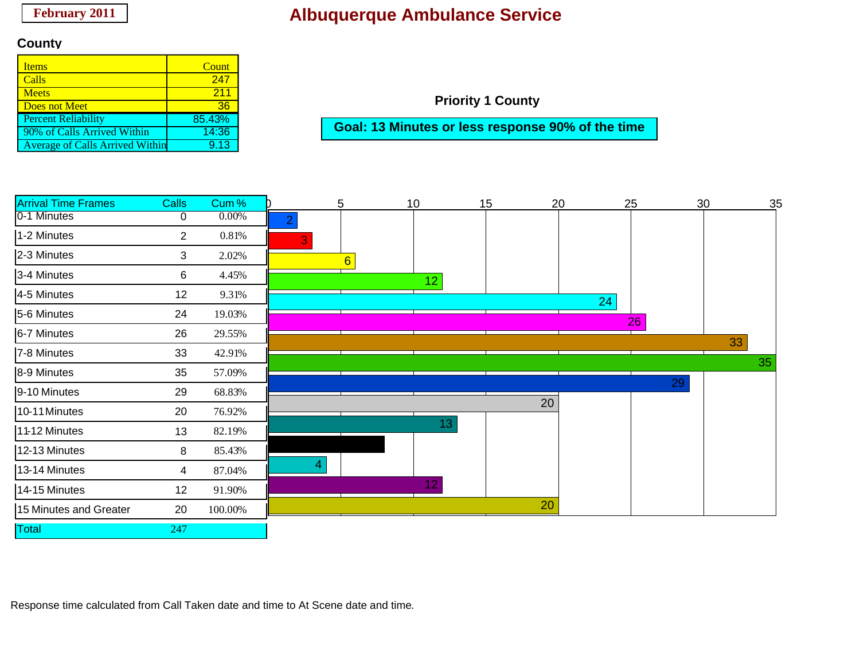### **County**

| Items                                  | Count  |
|----------------------------------------|--------|
| Calls                                  | 247    |
| <b>Meets</b>                           | 211    |
| Does not Meet                          | 36     |
| <b>Percent Reliability</b>             | 85.43% |
| 90% of Calls Arrived Within            | 14:36  |
| <b>Average of Calls Arrived Within</b> | 9 13   |

**Priority 1 County**

**Goal: 13 Minutes or less response 90% of the time**

| <b>Arrival Time Frames</b> | <b>Calls</b>   | Cum%     |                | 5               | 10              | 15 |    | 20 | 25 | 30 | 35 |
|----------------------------|----------------|----------|----------------|-----------------|-----------------|----|----|----|----|----|----|
| 0-1 Minutes                | 0              | $0.00\%$ | $\overline{2}$ |                 |                 |    |    |    |    |    |    |
| 1-2 Minutes                | $\overline{2}$ | 0.81%    | 3              |                 |                 |    |    |    |    |    |    |
| 2-3 Minutes                | 3              | 2.02%    |                | $6\overline{6}$ |                 |    |    |    |    |    |    |
| 3-4 Minutes                | 6              | 4.45%    |                |                 | 12 <sub>2</sub> |    |    |    |    |    |    |
| 4-5 Minutes                | 12             | 9.31%    |                |                 |                 |    |    | 24 |    |    |    |
| 5-6 Minutes                | 24             | 19.03%   |                |                 |                 |    |    |    | 26 |    |    |
| 6-7 Minutes                | 26             | 29.55%   |                |                 |                 |    |    |    |    | 33 |    |
| 7-8 Minutes                | 33             | 42.91%   |                |                 |                 |    |    |    |    |    |    |
| 8-9 Minutes                | 35             | 57.09%   |                |                 |                 |    |    |    |    |    | 35 |
| 9-10 Minutes               | 29             | 68.83%   |                |                 |                 |    |    |    | 29 |    |    |
| 10-11 Minutes              | 20             | 76.92%   |                |                 |                 |    | 20 |    |    |    |    |
| 11-12 Minutes              | 13             | 82.19%   |                |                 | 13              |    |    |    |    |    |    |
| 12-13 Minutes              | 8              | 85.43%   |                |                 |                 |    |    |    |    |    |    |
| 13-14 Minutes              | 4              | 87.04%   | 4.             |                 |                 |    |    |    |    |    |    |
| 14-15 Minutes              | 12             | 91.90%   |                |                 | 12              |    |    |    |    |    |    |
| 15 Minutes and Greater     | 20             | 100.00%  |                |                 |                 |    | 20 |    |    |    |    |
| <b>Total</b>               | 247            |          |                |                 |                 |    |    |    |    |    |    |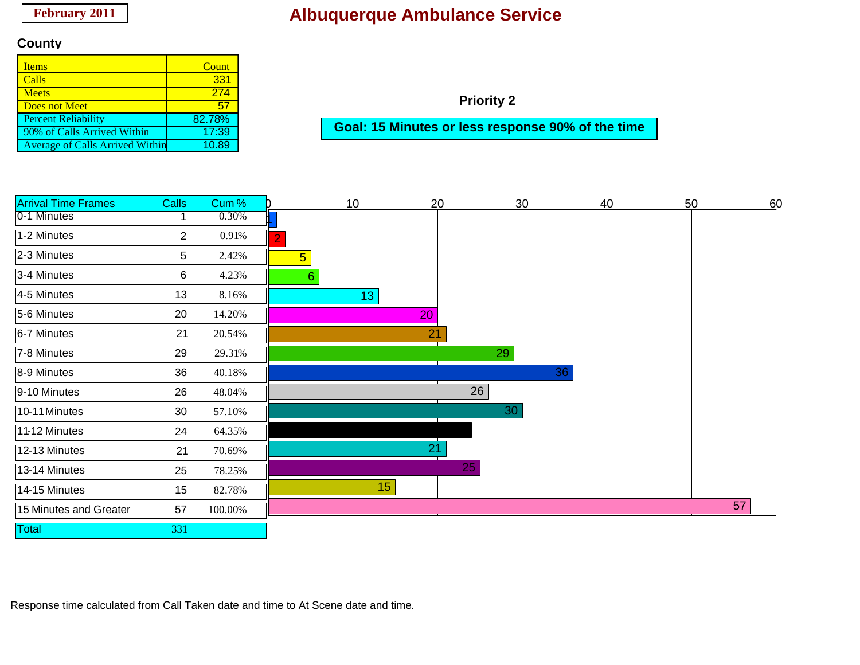#### **County**

| <b>Items</b>                           | Count  |
|----------------------------------------|--------|
| Calls                                  | 331    |
| <b>Meets</b>                           | 274    |
| Does not Meet                          | 5.     |
| <b>Percent Reliability</b>             | 82.78% |
| 90% of Calls Arrived Within            | 17:39  |
| <b>Average of Calls Arrived Within</b> | 0.89   |

**Priority 2**

**Goal: 15 Minutes or less response 90% of the time**